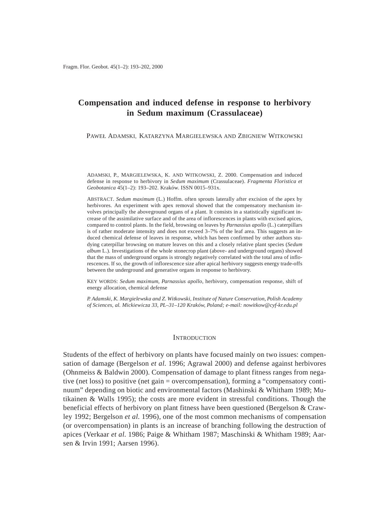# **Compensation and induced defense in response to herbivory in Sedum maximum (Crassulaceae)**

PAWEŁ ADAMSKI, KATARZYNA MARGIELEWSKA AND ZBIGNIEW WITKOWSKI

ADAMSKI, P., MARGIELEWSKA, K. AND WITKOWSKI, Z. 2000. Compensation and induced defense in response to herbivory in *Sedum maximum* (Crassulaceae). *Fragmenta Floristica et Geobotanica* 45(1–2): 193–202. Kraków. ISSN 0015–931x.

ABSTRACT. *Sedum maximum* (L.) Hoffm. often sprouts laterally after excision of the apex by herbivores. An experiment with apex removal showed that the compensatory mechanism involves principally the aboveground organs of a plant. It consists in a statistically significant increase of the assimilative surface and of the area of inflorescences in plants with excised apices, compared to control plants. In the field, browsing on leaves by *Parnassius apollo* (L.) caterpillars is of rather moderate intensity and does not exceed 3–7% of the leaf area. This suggests an induced chemical defense of leaves in response, which has been confirmed by other authors studying caterpillar browsing on mature leaves on this and a closely relative plant species (*Sedum album* L.). Investigations of the whole stonecrop plant (above- and underground organs) showed that the mass of underground organs is strongly negatively correlated with the total area of inflorescences. If so, the growth of inflorescence size after apical herbivory suggests energy trade-offs between the underground and generative organs in response to herbivory.

KEY WORDS: *Sedum maximum*, *Parnassius apollo*, herbivory, compensation response, shift of energy allocation, chemical defense

*P. Adamski, K. Margielewska and Z. Witkowski, Institute of Nature Conservation, Polish Academy of Sciences, al. Mickiewicza 33, PL–31–120 Kraków, Poland; e-mail: nowitkow@cyf-kr.edu.pl*

## **INTRODUCTION**

Students of the effect of herbivory on plants have focused mainly on two issues: compensation of damage (Bergelson *et al*. 1996; Agrawal 2000) and defense against herbivores (Ohnmeiss & Baldwin 2000). Compensation of damage to plant fitness ranges from negative (net loss) to positive (net gain = overcompensation), forming a "compensatory continuum" depending on biotic and environmental factors (Mashinski & Whitham 1989; Mutikainen & Walls 1995); the costs are more evident in stressful conditions. Though the beneficial effects of herbivory on plant fitness have been questioned (Bergelson & Crawley 1992; Bergelson *et al.* 1996), one of the most common mechanisms of compensation (or overcompensation) in plants is an increase of branching following the destruction of apices (Verkaar *et al.* 1986; Paige & Whitham 1987; Maschinski & Whitham 1989; Aarsen & Irvin 1991; Aarsen 1996).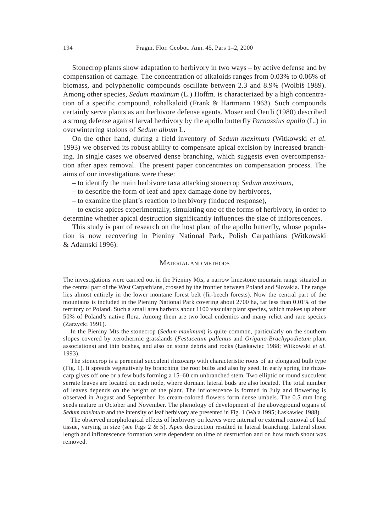Stonecrop plants show adaptation to herbivory in two ways – by active defense and by compensation of damage. The concentration of alkaloids ranges from 0.03% to 0.06% of biomass, and polyphenolic compounds oscillate between 2.3 and 8.9% (Wolbis´ 1989). Among other species, *Sedum maximum* (L.) Hoffm. is characterized by a high concentration of a specific compound, rohalkaloid (Frank & Hartmann 1963). Such compounds certainly serve plants as antiherbivore defense agents. Moser and Oertli (1980) described a strong defense against larval herbivory by the apollo butterfly *Parnassius apollo* (L.) in overwintering stolons of *Sedum album* L.

On the other hand, during a field inventory of *Sedum maximum* (Witkowski *et al.* 1993) we observed its robust ability to compensate apical excision by increased branching. In single cases we observed dense branching, which suggests even overcompensation after apex removal. The present paper concentrates on compensation process. The aims of our investigations were these:

– to identify the main herbivore taxa attacking stonecrop *Sedum maximum*,

- to describe the form of leaf and apex damage done by herbivores,
- to examine the plant's reaction to herbivory (induced response),

– to excise apices experimentally, simulating one of the forms of herbivory, in order to determine whether apical destruction significantly influences the size of inflorescences.

This study is part of research on the host plant of the apollo butterfly, whose population is now recovering in Pieniny National Park, Polish Carpathians (Witkowski & Adamski 1996).

# MATERIAL AND METHODS

The investigations were carried out in the Pieniny Mts, a narrow limestone mountain range situated in the central part of the West Carpathians, crossed by the frontier between Poland and Slovakia. The range lies almost entirely in the lower montane forest belt (fir-beech forests). Now the central part of the mountains is included in the Pieniny National Park covering about 2700 ha, far less than 0.01% of the territory of Poland. Such a small area harbors about 1100 vascular plant species, which makes up about 50% of Poland's native flora. Among them are two local endemics and many relict and rare species (Zarzycki 1991).

In the Pieniny Mts the stonecrop (*Sedum maximum*) is quite common, particularly on the southern slopes covered by xerothermic grasslands (*Festucetum pallentis* and *Origano-Brachypodietum* plant associations) and thin bushes, and also on stone debris and rocks (Łaskawiec 1988; Witkowski *et al.* 1993).

The stonecrop is a perennial succulent rhizocarp with characteristic roots of an elongated bulb type (Fig. 1). It spreads vegetatively by branching the root bulbs and also by seed. In early spring the rhizocarp gives off one or a few buds forming a 15–60 cm unbranched stem. Two elliptic or round succulent serrate leaves are located on each node, where dormant lateral buds are also located. The total number of leaves depends on the height of the plant. The inflorescence is formed in July and flowering is observed in August and September. Its cream-colored flowers form dense umbels. The 0.5 mm long seeds mature in October and November. The phenology of development of the aboveground organs of *Sedum maximum* and the intensity of leaf herbivory are presented in Fig. 1 (Wala 1995; Łaskawiec 1988).

The observed morphological effects of herbivory on leaves were internal or external removal of leaf tissue, varying in size (see Figs  $2 \& 5$ ). Apex destruction resulted in lateral branching. Lateral shoot length and inflorescence formation were dependent on time of destruction and on how much shoot was removed.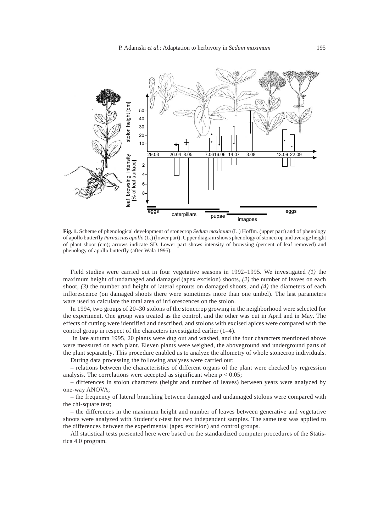

**Fig. 1.** Scheme of phenological development of stonecrop *Sedum maximum* (L.) Hoffm. (upper part) and of phenology of apollo butterfly *Parnassius apollo* (L.) (lower part). Upper diagram shows phenology of stonecrop and average height of plant shoot (cm); arrows indicate SD. Lower part shows intensity of browsing (percent of leaf removed) and phenology of apollo butterfly (after Wala 1995).

Field studies were carried out in four vegetative seasons in 1992–1995. We investigated *(1)* the maximum height of undamaged and damaged (apex excision) shoots, *(2)* the number of leaves on each shoot, *(3)* the number and height of lateral sprouts on damaged shoots, and *(4)* the diameters of each inflorescence (on damaged shoots there were sometimes more than one umbel). The last parameters ware used to calculate the total area of inflorescences on the stolon.

In 1994, two groups of 20–30 stolons of the stonecrop growing in the neighborhood were selected for the experiment. One group was treated as the control, and the other was cut in April and in May. The effects of cutting were identified and described, and stolons with excised apices were compared with the control group in respect of the characters investigated earlier (1–4).

 In late autumn 1995, 20 plants were dug out and washed, and the four characters mentioned above were measured on each plant. Eleven plants were weighed, the aboveground and underground parts of the plant separately**.** This procedure enabled us to analyze the allometry of whole stonecrop individuals.

During data processing the following analyses were carried out:

– relations between the characteristics of different organs of the plant were checked by regression analysis. The correlations were accepted as significant when  $p < 0.05$ ;

– differences in stolon characters (height and number of leaves) between years were analyzed by one-way ANOVA;

– the frequency of lateral branching between damaged and undamaged stolons were compared with the chi-square test;

– the differences in the maximum height and number of leaves between generative and vegetative shoots were analyzed with Student's *t*-test for two independent samples. The same test was applied to the differences between the experimental (apex excision) and control groups.

All statistical tests presented here were based on the standardized computer procedures of the Statistica 4.0 program.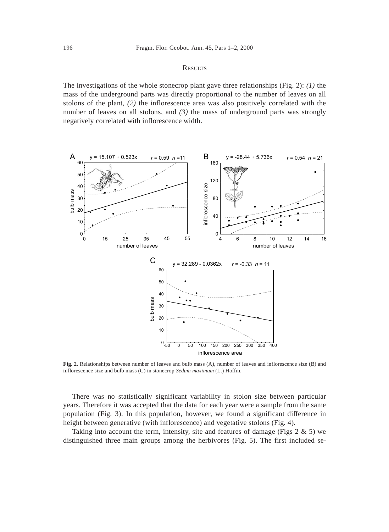## **RESULTS**

The investigations of the whole stonecrop plant gave three relationships (Fig. 2): *(1)* the mass of the underground parts was directly proportional to the number of leaves on all stolons of the plant, *(2)* the inflorescence area was also positively correlated with the number of leaves on all stolons, and *(3)* the mass of underground parts was strongly negatively correlated with inflorescence width.



**Fig. 2.** Relationships between number of leaves and bulb mass (A), number of leaves and inflorescence size (B) and inflorescence size and bulb mass (C) in stonecrop *Sedum maximum* (L.) Hoffm.

There was no statistically significant variability in stolon size between particular years. Therefore it was accepted that the data for each year were a sample from the same population (Fig. 3). In this population, however, we found a significant difference in height between generative (with inflorescence) and vegetative stolons (Fig. 4).

Taking into account the term, intensity, site and features of damage (Figs  $2 \& 5$ ) we distinguished three main groups among the herbivores (Fig. 5). The first included se-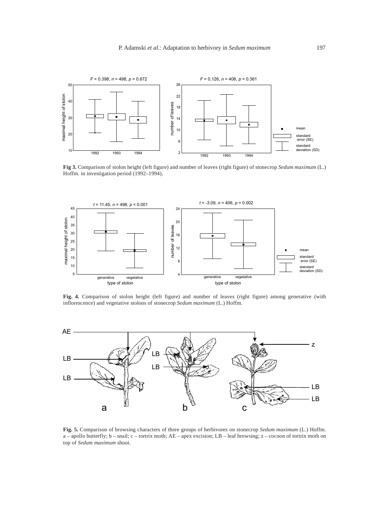

**Fig 3.** Comparison of stolon height (left figure) and number of leaves (right figure) of stonecrop *Sedum maximum* (L.) Hoffm. in investigation period (1992–1994).



**Fig. 4.** Comparison of stolon height (left figure) and number of leaves (right figure) among generative (with inflorescence) and vegetative stolons of stonecrop *Sedum maximum* (L.) Hoffm.



**Fig. 5.** Comparison of browsing characters of three groups of herbivores on stonecrop *Sedum maximum* (L.) Hoffm.  $a$  – apollo butterfly;  $b$  – snail;  $c$  – tortrix moth;  $AE$  – apex excision;  $LB$  – leaf browsing;  $z$  – cocoon of tortrix moth on top of *Sedum maximum* shoot.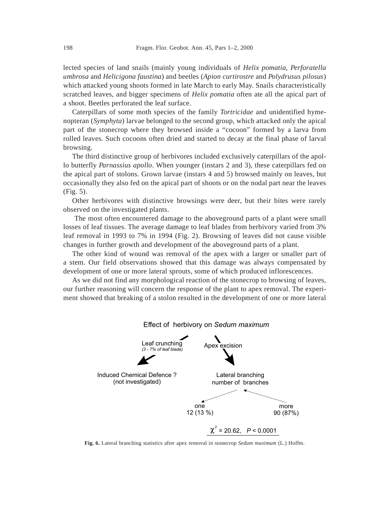lected species of land snails (mainly young individuals of *Helix pomatia, Perforatella umbrosa* and *Helicigona faustina*) and beetles (*Apion curtirostre* and *Polydrusus pilosus*) which attacked young shoots formed in late March to early May. Snails characteristically scratched leaves, and bigger specimens of *Helix pomatia* often ate all the apical part of a shoot. Beetles perforated the leaf surface.

Caterpillars of some moth species of the family *Tortricidae* and unidentified hymenopteran (*Symphyta*) larvae belonged to the second group, which attacked only the apical part of the stonecrop where they browsed inside a "cocoon" formed by a larva from rolled leaves. Such cocoons often dried and started to decay at the final phase of larval browsing.

The third distinctive group of herbivores included exclusively caterpillars of the apollo butterfly *Parnassius apollo*. When younger (instars 2 and 3), these caterpillars fed on the apical part of stolons. Grown larvae (instars 4 and 5) browsed mainly on leaves, but occasionally they also fed on the apical part of shoots or on the nodal part near the leaves (Fig. 5).

Other herbivores with distinctive browsings were deer, but their bites were rarely observed on the investigated plants.

 The most often encountered damage to the aboveground parts of a plant were small losses of leaf tissues. The average damage to leaf blades from herbivory varied from 3% leaf removal in 1993 to 7% in 1994 (Fig. 2). Browsing of leaves did not cause visible changes in further growth and development of the aboveground parts of a plant.

The other kind of wound was removal of the apex with a larger or smaller part of a stem. Our field observations showed that this damage was always compensated by development of one or more lateral sprouts, some of which produced inflorescences.

As we did not find any morphological reaction of the stonecrop to browsing of leaves, our further reasoning will concern the response of the plant to apex removal. The experiment showed that breaking of a stolon resulted in the development of one or more lateral



Effect of herbivory on *Sedum maximum*

**Fig. 6.** Lateral branching statistics after apex removal in stonecrop *Sedum maximum* (L.) Hoffm.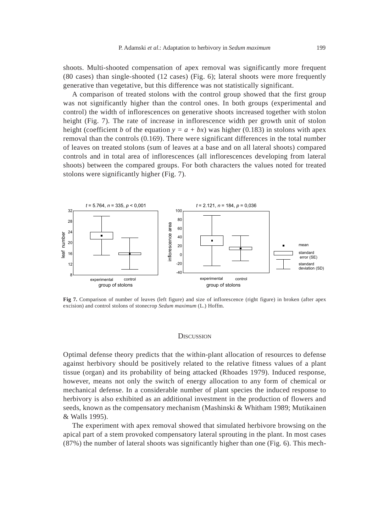shoots. Multi-shooted compensation of apex removal was significantly more frequent (80 cases) than single-shooted (12 cases) (Fig. 6); lateral shoots were more frequently generative than vegetative, but this difference was not statistically significant.

A comparison of treated stolons with the control group showed that the first group was not significantly higher than the control ones. In both groups (experimental and control) the width of inflorescences on generative shoots increased together with stolon height (Fig. 7). The rate of increase in inflorescence width per growth unit of stolon height (coefficient *b* of the equation  $y = a + bx$ ) was higher (0.183) in stolons with apex removal than the controls (0.169). There were significant differences in the total number of leaves on treated stolons (sum of leaves at a base and on all lateral shoots) compared controls and in total area of inflorescences (all inflorescences developing from lateral shoots) between the compared groups. For both characters the values noted for treated stolons were significantly higher (Fig. 7).



**Fig 7.** Comparison of number of leaves (left figure) and size of inflorescence (right figure) in broken (after apex excision) and control stolons of stonecrop *Sedum maximum* (L.) Hoffm.

#### **DISCUSSION**

Optimal defense theory predicts that the within-plant allocation of resources to defense against herbivory should be positively related to the relative fitness values of a plant tissue (organ) and its probability of being attacked (Rhoades 1979). Induced response, however, means not only the switch of energy allocation to any form of chemical or mechanical defense. In a considerable number of plant species the induced response to herbivory is also exhibited as an additional investment in the production of flowers and seeds, known as the compensatory mechanism (Mashinski & Whitham 1989; Mutikainen & Walls 1995).

The experiment with apex removal showed that simulated herbivore browsing on the apical part of a stem provoked compensatory lateral sprouting in the plant. In most cases (87%) the number of lateral shoots was significantly higher than one (Fig. 6). This mech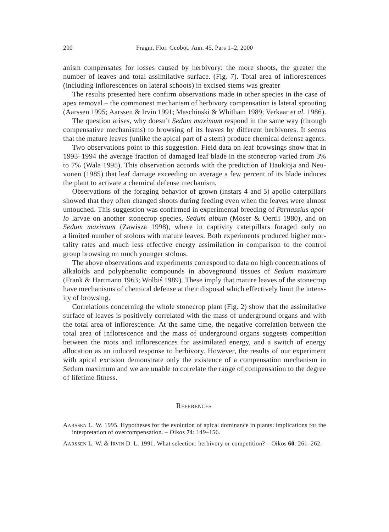anism compensates for losses caused by herbivory: the more shoots, the greater the number of leaves and total assimilative surface. (Fig. 7). Total area of inflorescences (including inflorescences on lateral schoots) in excised stems was greater

The results presented here confirm observations made in other species in the case of apex removal – the commonest mechanism of herbivory compensation is lateral sprouting (Aarssen 1995; Aarssen & Irvin 1991; Maschinski & Whitham 1989; Verkaar *et al.* 1986).

The question arises, why doesn't *Sedum maximum* respond in the same way (through compensative mechanisms) to browsing of its leaves by different herbivores. It seems that the mature leaves (unlike the apical part of a stem) produce chemical defense agents.

Two observations point to this suggestion. Field data on leaf browsings show that in 1993–1994 the average fraction of damaged leaf blade in the stonecrop varied from 3% to 7% (Wala 1995). This observation accords with the prediction of Haukioja and Neuvonen (1985) that leaf damage exceeding on average a few percent of its blade induces the plant to activate a chemical defense mechanism.

Observations of the foraging behavior of grown (instars 4 and 5) apollo caterpillars showed that they often changed shoots during feeding even when the leaves were almost untouched. This suggestion was confirmed in experimental breeding of *Parnassius apollo* larvae on another stonecrop species, *Sedum album* (Moser & Oertli 1980), and on *Sedum maximum* (Zawisza 1998), where in captivity caterpillars foraged only on a limited number of stolons with mature leaves. Both experiments produced higher mortality rates and much less effective energy assimilation in comparison to the control group browsing on much younger stolons.

The above observations and experiments correspond to data on high concentrations of alkaloids and polyphenolic compounds in aboveground tissues of *Sedum maximum* (Frank & Hartmann 1963; Wolbis´ 1989). These imply that mature leaves of the stonecrop have mechanisms of chemical defense at their disposal which effectively limit the intensity of browsing.

Correlations concerning the whole stonecrop plant (Fig. 2) show that the assimilative surface of leaves is positively correlated with the mass of underground organs and with the total area of inflorescence. At the same time, the negative correlation between the total area of inflorescence and the mass of underground organs suggests competition between the roots and inflorescences for assimilated energy, and a switch of energy allocation as an induced response to herbivory. However, the results of our experiment with apical excision demonstrate only the existence of a compensation mechanism in Sedum maximum and we are unable to correlate the range of compensation to the degree of lifetime fitness.

## **REFERENCES**

AARSSEN L. W. & IRVIN D. L. 1991. What selection: herbivory or competition? – Oikos **60**: 261–262.

AARSSEN L. W. 1995. Hypotheses for the evolution of apical dominance in plants: implications for the interpretation of overcompensation. – Oikos **74**: 149–156.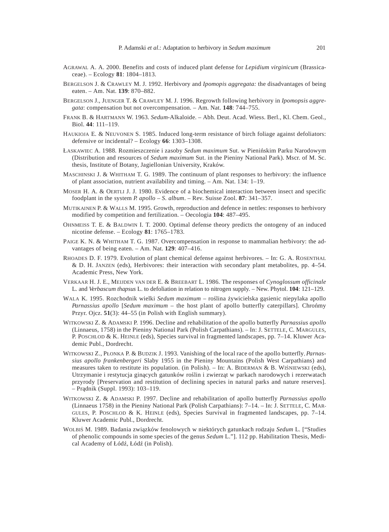- AGRAWAL A. A. 2000. Benefits and costs of induced plant defense for *Lepidium virginicum* (Brassicaceae). – Ecology **81**: 1804–1813.
- BERGELSON J. & CRAWLEY M. J. 1992. Herbivory and *Ipomopis aggregata:* the disadvantages of being eaten. – Am. Nat. **139**: 870–882.
- BERGELSON J., JUENGER T. & CRAWLEY M. J. 1996. Regrowth following herbivory in *Ipomopsis aggregata*: compensation but not overcompensation. – Am. Nat. **148**: 744–755.
- FRANK B. & HARTMANN W. 1963. *Sedum-*Alkaloide. Abh. Deut. Acad. Wiess. Berl., Kl. Chem. Geol., Biol. **44**: 111–119.
- HAUKIOJA E. & NEUVONEN S. 1985. Induced long-term resistance of birch foliage against defoliators: defensive or incidental? – Ecology **66**: 1303–1308.
- ŁASKAWIEC A. 1988. Rozmieszczenie i zasoby *Sedum maximum* Sut. w Pienin´skim Parku Narodowym (Distribution and resources of *Sedum maximum* Sut. in the Pieniny National Park). Mscr. of M. Sc. thesis, Institute of Botany, Jagiellonian University, Kraków.
- MASCHINSKI J. & WHITHAM T. G. 1989. The continuum of plant responses to herbivory: the influence of plant association, nutrient availability and timing. – Am. Nat. 134: 1–19.
- MOSER H. A. & OERTLI J. J. 1980. Evidence of a biochemical interaction between insect and specific foodplant in the system *P. apollo – S. album*. – Rev. Suisse Zool. **87**: 341–357.
- MUTIKAINEN P. & WALLS M. 1995. Growth, reproduction and defence in nettles: responses to herbivory modified by competition and fertilization. – Oecologia **104**: 487–495.
- OHNMEISS T. E. & BALDWIN I. T. 2000. Optimal defense theory predicts the ontogeny of an induced nicotine defense. – Ecology **81**: 1765–1783.
- PAIGE K. N. & WHITHAM T. G. 1987. Overcompensation in response to mammalian herbivory: the advantages of being eaten. – Am. Nat. **129**: 407–416.
- RHOADES D. F. 1979. Evolution of plant chemical defense against herbivores. In: G. A. ROSENTHAL & D. H. JANZEN (eds), Herbivores: their interaction with secondary plant metabolites, pp. 4–54. Academic Press, New York.
- VERKAAR H. J. E., MEIJDEN VAN DER E. & BREEBART L. 1986. The responses of *Cynoglossum officinale* L. and *Verbascum thapsus* L. to defoliation in relation to nitrogen supply. – New. Phytol. **104**: 121–129.
- WALA K. 1995. Rozchodnik wielki *Sedum maximum* roślina żywicielska gasienic niepylaka apollo *Parnassius apollo* [*Sedum maximum – the host plant of apollo butterfly caterpillars]. Chroncomy* Przyr. Ojcz. **51**(3): 44–55 (in Polish with English summary).
- WITKOWSKI Z. & ADAMSKI P. 1996. Decline and rehabilitation of the apollo butterfly *Parnassius apollo* (Linnaeus, 1758) in the Pieniny National Park (Polish Carpathians). – In: J. SETTELE, C. MARGULES, P. POSCHLOD & K. HEINLE (eds), Species survival in fragmented landscapes, pp. 7–14. Kluwer Academic Publ., Dordrecht.
- WITKOWSKI Z., PŁONKA P. & BUDZIK J. 1993. Vanishing of the local race of the apollo butterfly, *Parnassius apollo frankenbergeri* Slaby 1955 in the Pieniny Mountains (Polish West Carpathians) and measures taken to restitute its population. (in Polish).  $-$  In: A. BIDERMAN & B. WISNIEWSKI (eds), Utrzymanie i restytucja ginących gatunków roślin i zwierząt w parkach narodowych i rezerwatach przyrody [Preservation and restitution of declining species in natural parks and nature reserves]. – Pra˛dnik (Suppl. 1993): 103–119.
- WITKOWSKI Z. & ADAMSKI P. 1997. Decline and rehabilitation of apollo butterfly *Parnassius apollo* (Linnaeus 1758) in the Pieniny National Park (Polish Carpathians): 7–14. – In: J. SETTELE, C. MAR-GULES, P. POSCHLOD & K. HEINLE (eds), Species Survival in fragmented landscapes, pp.  $7-14$ . Kluwer Academic Publ., Dordrecht.
- WOLBIS´ M. 1989. Badania zwia˛zków fenolowych w niektórych gatunkach rodzaju *Sedum* L. ["Studies of phenolic compounds in some species of the genus *Sedum* L."]. 112 pp. Habilitation Thesis, Medical Academy of Łódź, Łódź (in Polish).